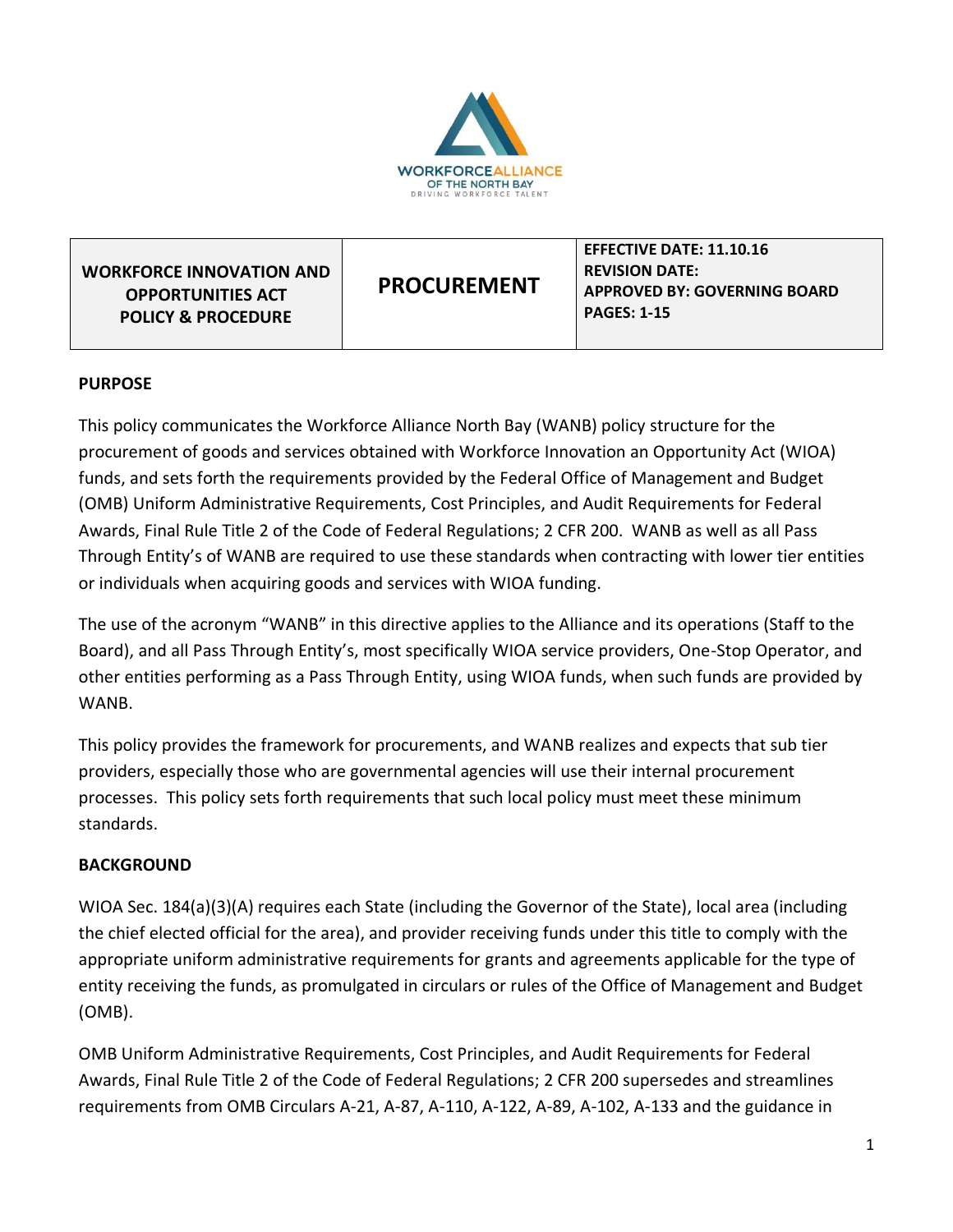

| <b>WORKFORCE INNOVATION AND</b><br><b>OPPORTUNITIES ACT</b><br><b>POLICY &amp; PROCEDURE</b> | <b>PROCUREMENT</b> | <b>EFFECTIVE DATE: 11.10.16</b><br><b>REVISION DATE:</b><br><b>APPROVED BY: GOVERNING BOARD</b><br><b>PAGES: 1-15</b> |
|----------------------------------------------------------------------------------------------|--------------------|-----------------------------------------------------------------------------------------------------------------------|
|----------------------------------------------------------------------------------------------|--------------------|-----------------------------------------------------------------------------------------------------------------------|

#### **PURPOSE**

This policy communicates the Workforce Alliance North Bay (WANB) policy structure for the procurement of goods and services obtained with Workforce Innovation an Opportunity Act (WIOA) funds, and sets forth the requirements provided by the Federal Office of Management and Budget (OMB) Uniform Administrative Requirements, Cost Principles, and Audit Requirements for Federal Awards, Final Rule Title 2 of the Code of Federal Regulations; 2 CFR 200. WANB as well as all Pass Through Entity's of WANB are required to use these standards when contracting with lower tier entities or individuals when acquiring goods and services with WIOA funding.

The use of the acronym "WANB" in this directive applies to the Alliance and its operations (Staff to the Board), and all Pass Through Entity's, most specifically WIOA service providers, One-Stop Operator, and other entities performing as a Pass Through Entity, using WIOA funds, when such funds are provided by WANB.

This policy provides the framework for procurements, and WANB realizes and expects that sub tier providers, especially those who are governmental agencies will use their internal procurement processes. This policy sets forth requirements that such local policy must meet these minimum standards.

#### **BACKGROUND**

WIOA Sec. 184(a)(3)(A) requires each State (including the Governor of the State), local area (including the chief elected official for the area), and provider receiving funds under this title to comply with the appropriate uniform administrative requirements for grants and agreements applicable for the type of entity receiving the funds, as promulgated in circulars or rules of the Office of Management and Budget (OMB).

OMB Uniform Administrative Requirements, Cost Principles, and Audit Requirements for Federal Awards, Final Rule Title 2 of the Code of Federal Regulations; 2 CFR 200 supersedes and streamlines requirements from OMB Circulars A-21, A-87, A-110, A-122, A-89, A-102, A-133 and the guidance in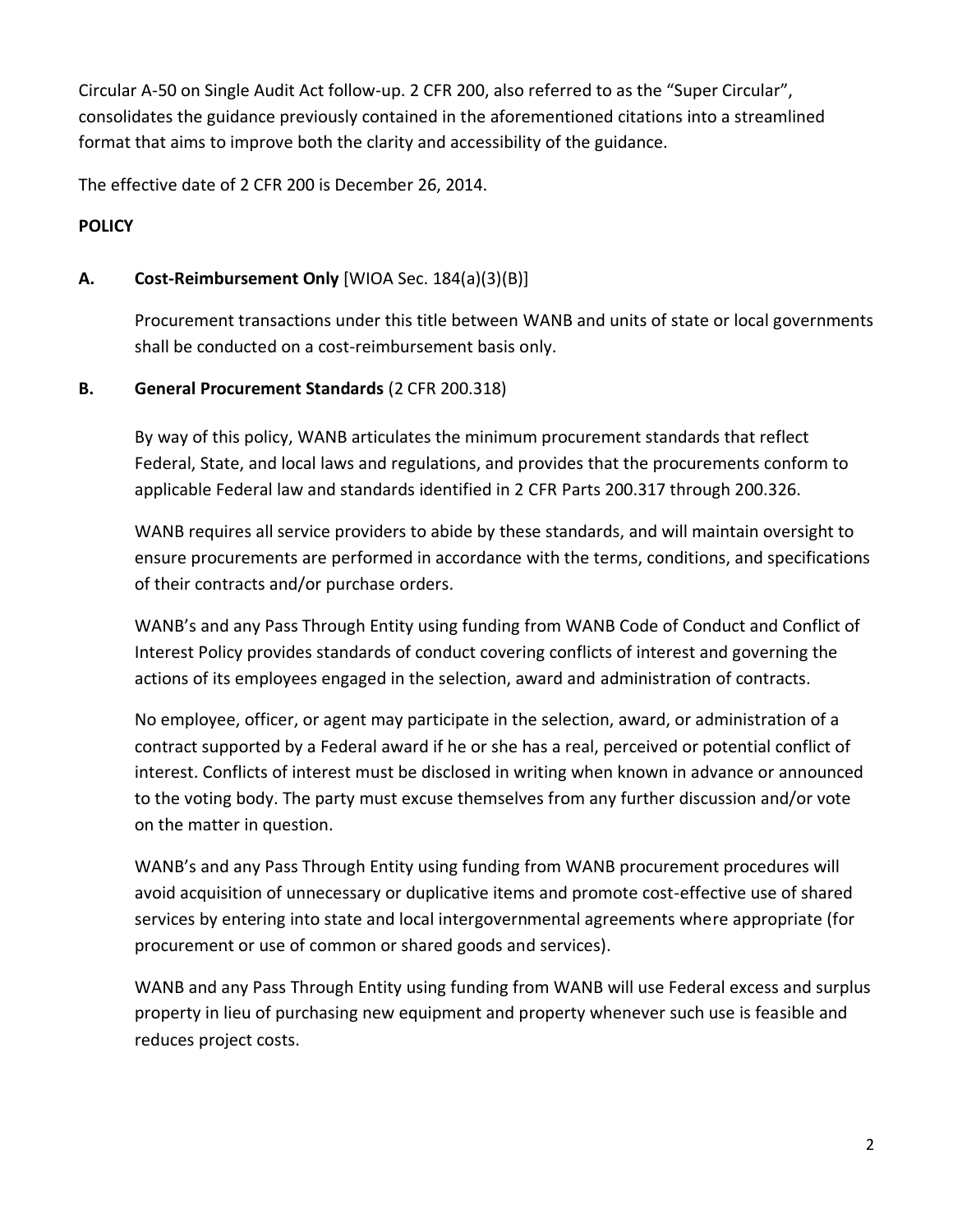Circular A-50 on Single Audit Act follow-up. 2 CFR 200, also referred to as the "Super Circular", consolidates the guidance previously contained in the aforementioned citations into a streamlined format that aims to improve both the clarity and accessibility of the guidance.

The effective date of 2 CFR 200 is December 26, 2014.

# **POLICY**

# **A. Cost-Reimbursement Only** [WIOA Sec. 184(a)(3)(B)]

Procurement transactions under this title between WANB and units of state or local governments shall be conducted on a cost-reimbursement basis only.

### **B. General Procurement Standards** (2 CFR 200.318)

By way of this policy, WANB articulates the minimum procurement standards that reflect Federal, State, and local laws and regulations, and provides that the procurements conform to applicable Federal law and standards identified in 2 CFR Parts 200.317 through 200.326.

WANB requires all service providers to abide by these standards, and will maintain oversight to ensure procurements are performed in accordance with the terms, conditions, and specifications of their contracts and/or purchase orders.

WANB's and any Pass Through Entity using funding from WANB Code of Conduct and Conflict of Interest Policy provides standards of conduct covering conflicts of interest and governing the actions of its employees engaged in the selection, award and administration of contracts.

No employee, officer, or agent may participate in the selection, award, or administration of a contract supported by a Federal award if he or she has a real, perceived or potential conflict of interest. Conflicts of interest must be disclosed in writing when known in advance or announced to the voting body. The party must excuse themselves from any further discussion and/or vote on the matter in question.

WANB's and any Pass Through Entity using funding from WANB procurement procedures will avoid acquisition of unnecessary or duplicative items and promote cost-effective use of shared services by entering into state and local intergovernmental agreements where appropriate (for procurement or use of common or shared goods and services).

WANB and any Pass Through Entity using funding from WANB will use Federal excess and surplus property in lieu of purchasing new equipment and property whenever such use is feasible and reduces project costs.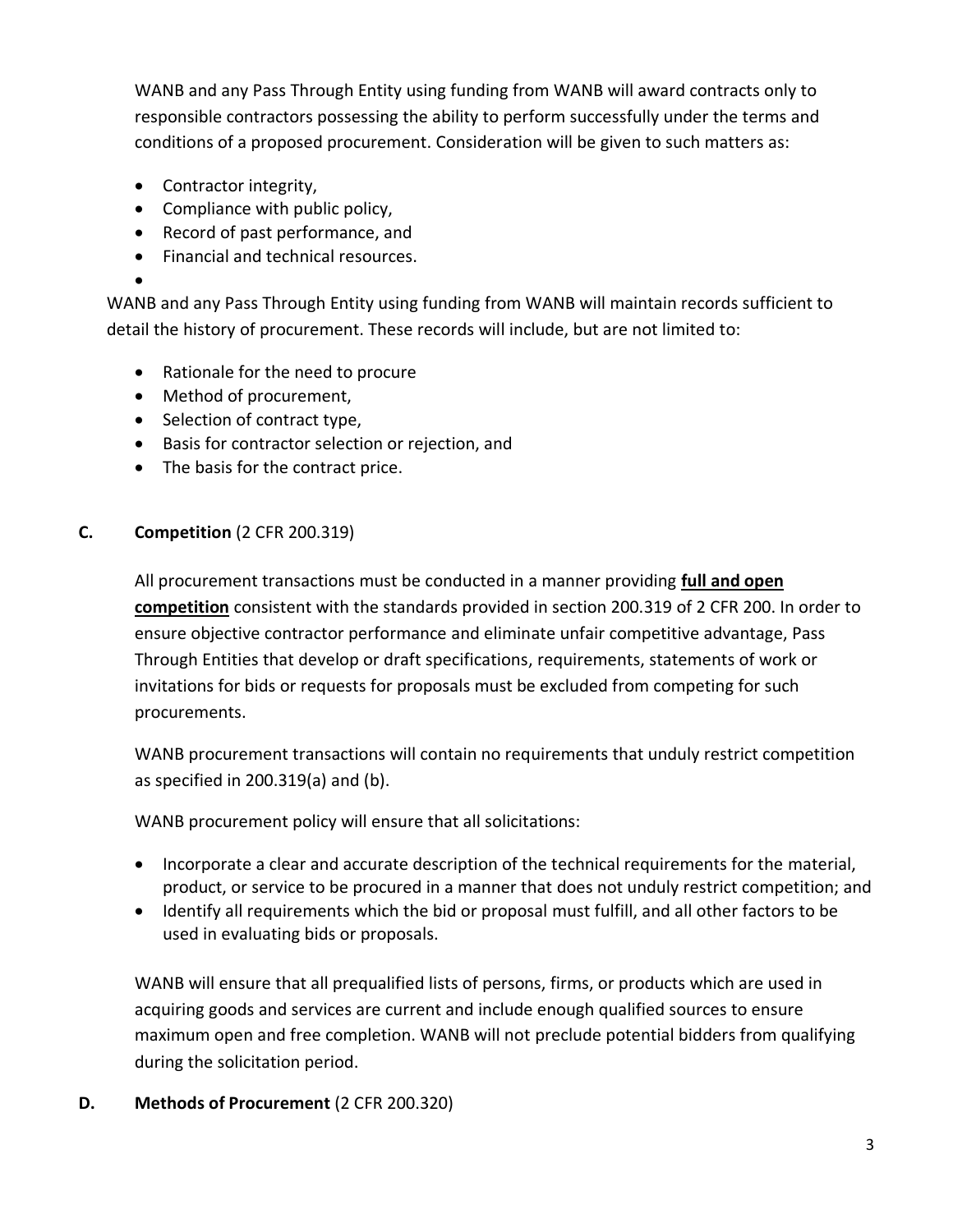WANB and any Pass Through Entity using funding from WANB will award contracts only to responsible contractors possessing the ability to perform successfully under the terms and conditions of a proposed procurement. Consideration will be given to such matters as:

- Contractor integrity,
- Compliance with public policy,
- Record of past performance, and
- Financial and technical resources.

•

WANB and any Pass Through Entity using funding from WANB will maintain records sufficient to detail the history of procurement. These records will include, but are not limited to:

- Rationale for the need to procure
- Method of procurement,
- Selection of contract type,
- Basis for contractor selection or rejection, and
- The basis for the contract price.

# **C. Competition** (2 CFR 200.319)

All procurement transactions must be conducted in a manner providing **full and open competition** consistent with the standards provided in section 200.319 of 2 CFR 200. In order to ensure objective contractor performance and eliminate unfair competitive advantage, Pass Through Entities that develop or draft specifications, requirements, statements of work or invitations for bids or requests for proposals must be excluded from competing for such procurements.

WANB procurement transactions will contain no requirements that unduly restrict competition as specified in 200.319(a) and (b).

WANB procurement policy will ensure that all solicitations:

- Incorporate a clear and accurate description of the technical requirements for the material, product, or service to be procured in a manner that does not unduly restrict competition; and
- Identify all requirements which the bid or proposal must fulfill, and all other factors to be used in evaluating bids or proposals.

WANB will ensure that all prequalified lists of persons, firms, or products which are used in acquiring goods and services are current and include enough qualified sources to ensure maximum open and free completion. WANB will not preclude potential bidders from qualifying during the solicitation period.

# **D. Methods of Procurement** (2 CFR 200.320)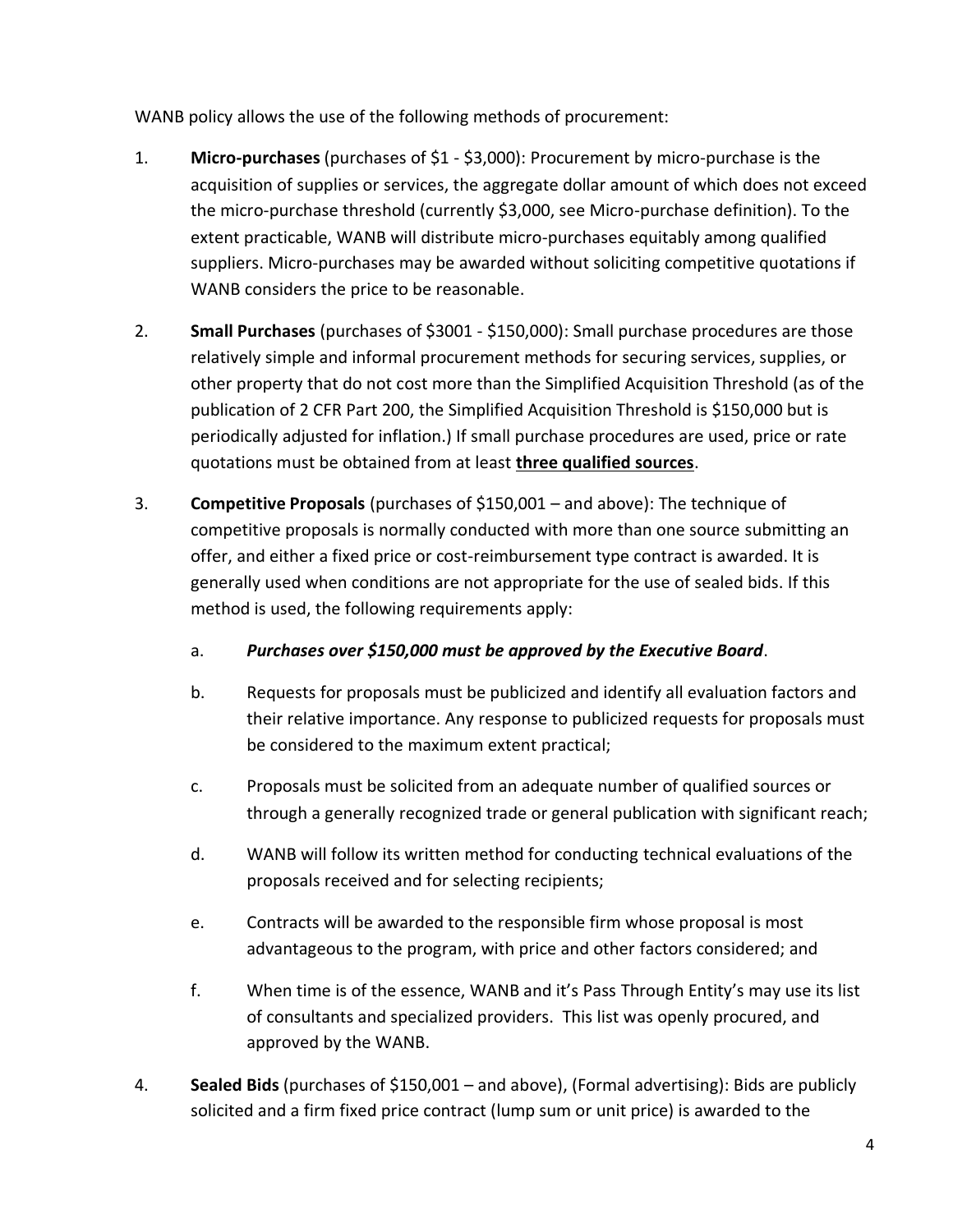WANB policy allows the use of the following methods of procurement:

- 1. **Micro-purchases** (purchases of \$1 \$3,000): Procurement by micro-purchase is the acquisition of supplies or services, the aggregate dollar amount of which does not exceed the micro-purchase threshold (currently \$3,000, see Micro-purchase definition). To the extent practicable, WANB will distribute micro-purchases equitably among qualified suppliers. Micro-purchases may be awarded without soliciting competitive quotations if WANB considers the price to be reasonable.
- 2. **Small Purchases** (purchases of \$3001 \$150,000): Small purchase procedures are those relatively simple and informal procurement methods for securing services, supplies, or other property that do not cost more than the Simplified Acquisition Threshold (as of the publication of 2 CFR Part 200, the Simplified Acquisition Threshold is \$150,000 but is periodically adjusted for inflation.) If small purchase procedures are used, price or rate quotations must be obtained from at least **three qualified sources**.
- 3. **Competitive Proposals** (purchases of \$150,001 and above): The technique of competitive proposals is normally conducted with more than one source submitting an offer, and either a fixed price or cost-reimbursement type contract is awarded. It is generally used when conditions are not appropriate for the use of sealed bids. If this method is used, the following requirements apply:
	- a. *Purchases over \$150,000 must be approved by the Executive Board*.
	- b. Requests for proposals must be publicized and identify all evaluation factors and their relative importance. Any response to publicized requests for proposals must be considered to the maximum extent practical;
	- c. Proposals must be solicited from an adequate number of qualified sources or through a generally recognized trade or general publication with significant reach;
	- d. WANB will follow its written method for conducting technical evaluations of the proposals received and for selecting recipients;
	- e. Contracts will be awarded to the responsible firm whose proposal is most advantageous to the program, with price and other factors considered; and
	- f. When time is of the essence, WANB and it's Pass Through Entity's may use its list of consultants and specialized providers. This list was openly procured, and approved by the WANB.
- 4. **Sealed Bids** (purchases of \$150,001 and above), (Formal advertising): Bids are publicly solicited and a firm fixed price contract (lump sum or unit price) is awarded to the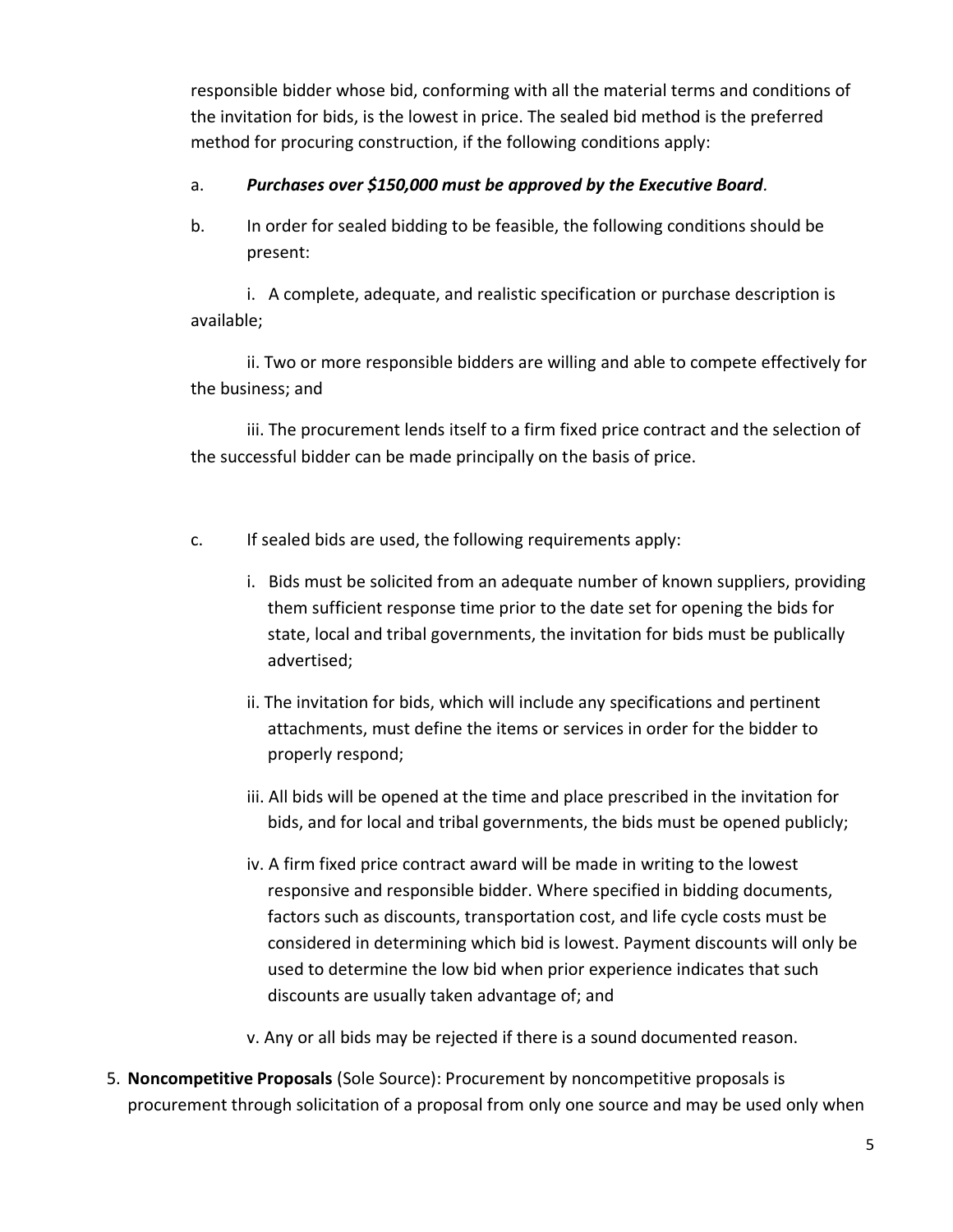responsible bidder whose bid, conforming with all the material terms and conditions of the invitation for bids, is the lowest in price. The sealed bid method is the preferred method for procuring construction, if the following conditions apply:

### a. *Purchases over \$150,000 must be approved by the Executive Board.*

b. In order for sealed bidding to be feasible, the following conditions should be present:

i. A complete, adequate, and realistic specification or purchase description is available;

ii. Two or more responsible bidders are willing and able to compete effectively for the business; and

iii. The procurement lends itself to a firm fixed price contract and the selection of the successful bidder can be made principally on the basis of price.

- c. If sealed bids are used, the following requirements apply:
	- i. Bids must be solicited from an adequate number of known suppliers, providing them sufficient response time prior to the date set for opening the bids for state, local and tribal governments, the invitation for bids must be publically advertised;
	- ii. The invitation for bids, which will include any specifications and pertinent attachments, must define the items or services in order for the bidder to properly respond;
	- iii. All bids will be opened at the time and place prescribed in the invitation for bids, and for local and tribal governments, the bids must be opened publicly;
	- iv. A firm fixed price contract award will be made in writing to the lowest responsive and responsible bidder. Where specified in bidding documents, factors such as discounts, transportation cost, and life cycle costs must be considered in determining which bid is lowest. Payment discounts will only be used to determine the low bid when prior experience indicates that such discounts are usually taken advantage of; and
	- v. Any or all bids may be rejected if there is a sound documented reason.
- 5. **Noncompetitive Proposals** (Sole Source): Procurement by noncompetitive proposals is procurement through solicitation of a proposal from only one source and may be used only when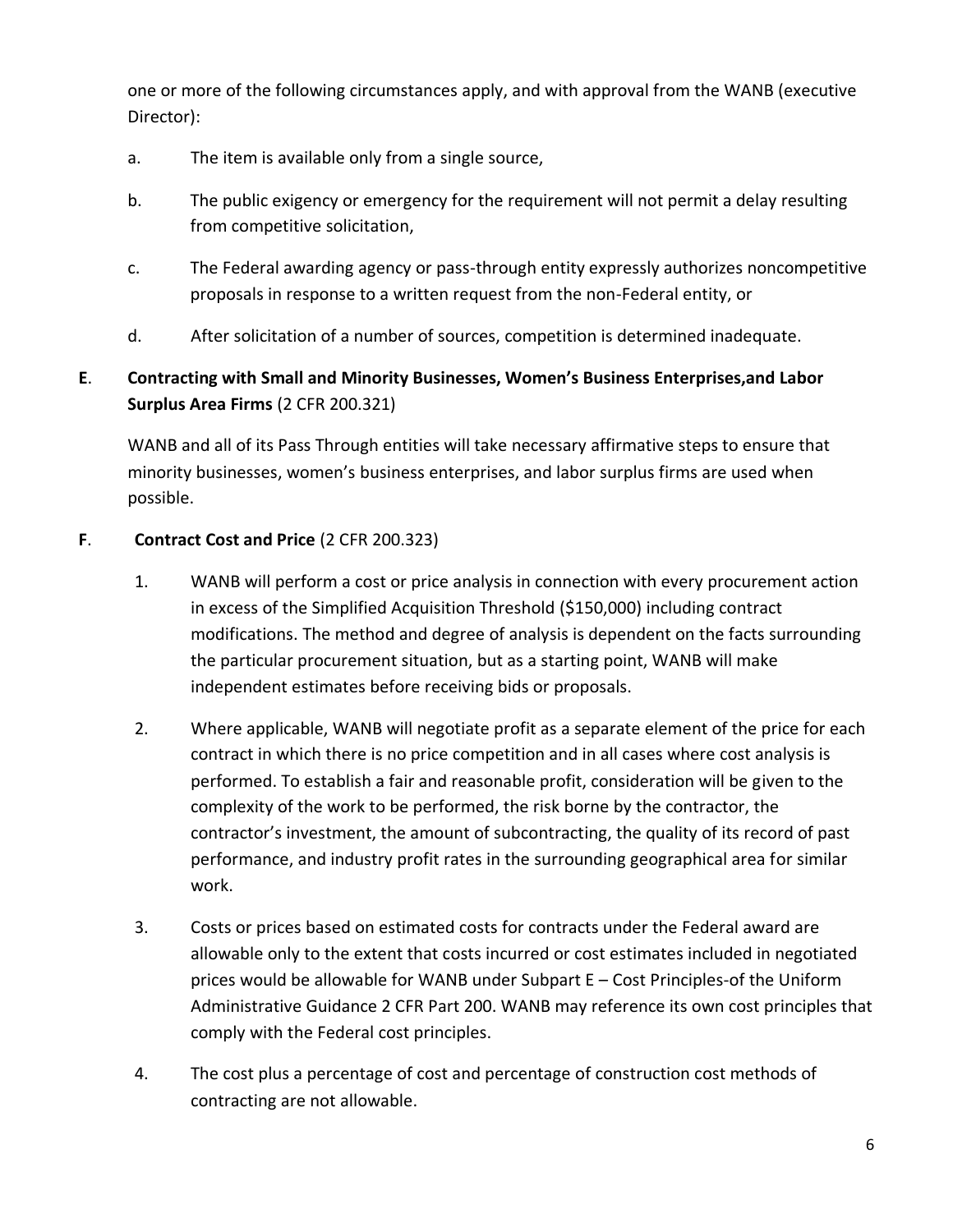one or more of the following circumstances apply, and with approval from the WANB (executive Director):

- a. The item is available only from a single source,
- b. The public exigency or emergency for the requirement will not permit a delay resulting from competitive solicitation,
- c. The Federal awarding agency or pass-through entity expressly authorizes noncompetitive proposals in response to a written request from the non-Federal entity, or
- d. After solicitation of a number of sources, competition is determined inadequate.

# **E**. **Contracting with Small and Minority Businesses, Women's Business Enterprises,and Labor Surplus Area Firms** (2 CFR 200.321)

WANB and all of its Pass Through entities will take necessary affirmative steps to ensure that minority businesses, women's business enterprises, and labor surplus firms are used when possible.

# **F**. **Contract Cost and Price** (2 CFR 200.323)

- 1. WANB will perform a cost or price analysis in connection with every procurement action in excess of the Simplified Acquisition Threshold (\$150,000) including contract modifications. The method and degree of analysis is dependent on the facts surrounding the particular procurement situation, but as a starting point, WANB will make independent estimates before receiving bids or proposals.
- 2. Where applicable, WANB will negotiate profit as a separate element of the price for each contract in which there is no price competition and in all cases where cost analysis is performed. To establish a fair and reasonable profit, consideration will be given to the complexity of the work to be performed, the risk borne by the contractor, the contractor's investment, the amount of subcontracting, the quality of its record of past performance, and industry profit rates in the surrounding geographical area for similar work.
- 3. Costs or prices based on estimated costs for contracts under the Federal award are allowable only to the extent that costs incurred or cost estimates included in negotiated prices would be allowable for WANB under Subpart E – Cost Principles-of the Uniform Administrative Guidance 2 CFR Part 200. WANB may reference its own cost principles that comply with the Federal cost principles.
- 4. The cost plus a percentage of cost and percentage of construction cost methods of contracting are not allowable.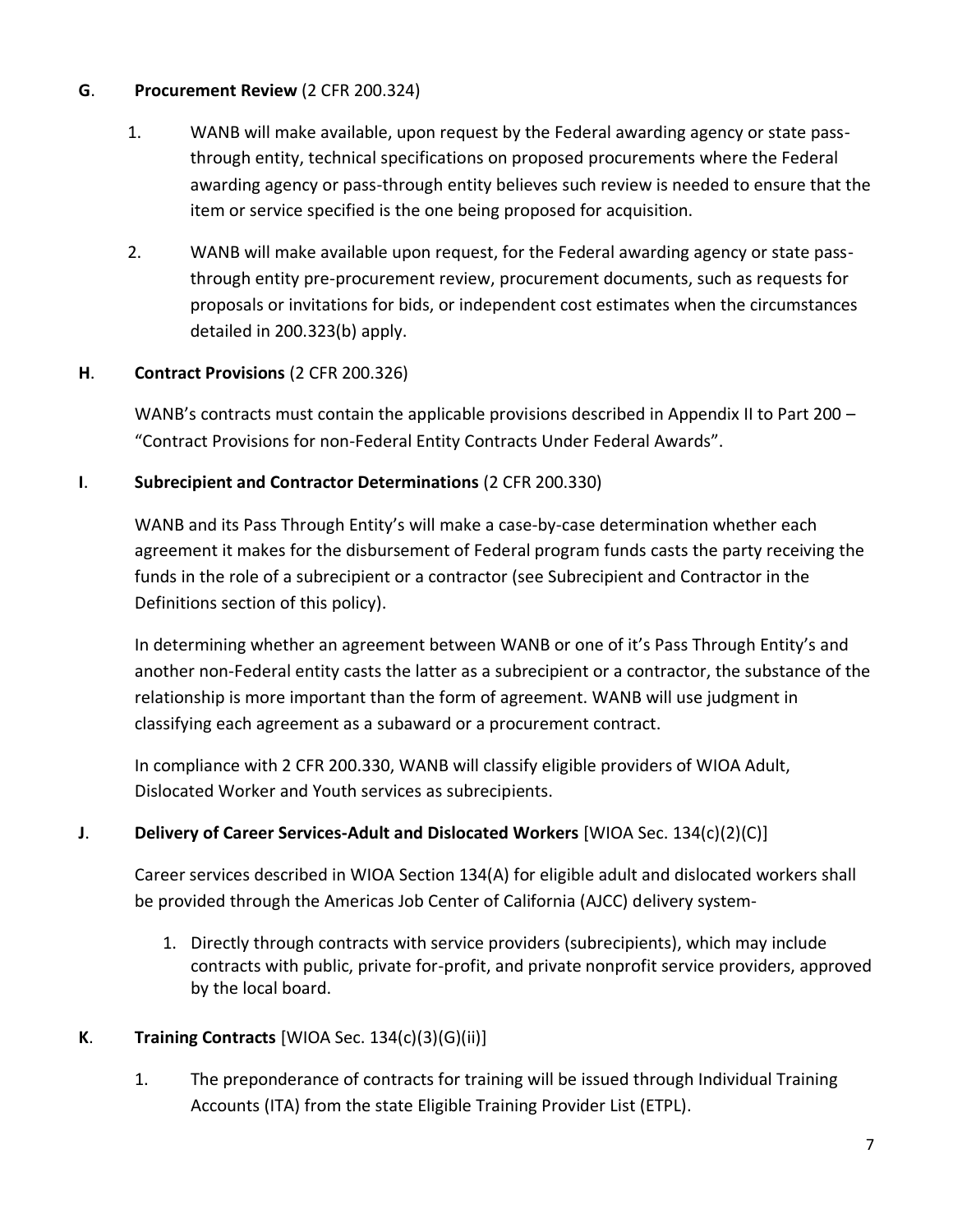### **G**. **Procurement Review** (2 CFR 200.324)

- 1. WANB will make available, upon request by the Federal awarding agency or state passthrough entity, technical specifications on proposed procurements where the Federal awarding agency or pass-through entity believes such review is needed to ensure that the item or service specified is the one being proposed for acquisition.
- 2. WANB will make available upon request, for the Federal awarding agency or state passthrough entity pre-procurement review, procurement documents, such as requests for proposals or invitations for bids, or independent cost estimates when the circumstances detailed in 200.323(b) apply.

# **H**. **Contract Provisions** (2 CFR 200.326)

WANB's contracts must contain the applicable provisions described in Appendix II to Part 200 – "Contract Provisions for non-Federal Entity Contracts Under Federal Awards".

### **I**. **Subrecipient and Contractor Determinations** (2 CFR 200.330)

WANB and its Pass Through Entity's will make a case-by-case determination whether each agreement it makes for the disbursement of Federal program funds casts the party receiving the funds in the role of a subrecipient or a contractor (see Subrecipient and Contractor in the Definitions section of this policy).

In determining whether an agreement between WANB or one of it's Pass Through Entity's and another non-Federal entity casts the latter as a subrecipient or a contractor, the substance of the relationship is more important than the form of agreement. WANB will use judgment in classifying each agreement as a subaward or a procurement contract.

In compliance with 2 CFR 200.330, WANB will classify eligible providers of WIOA Adult, Dislocated Worker and Youth services as subrecipients.

### **J**. **Delivery of Career Services-Adult and Dislocated Workers** [WIOA Sec. 134(c)(2)(C)]

Career services described in WIOA Section 134(A) for eligible adult and dislocated workers shall be provided through the Americas Job Center of California (AJCC) delivery system-

1. Directly through contracts with service providers (subrecipients), which may include contracts with public, private for-profit, and private nonprofit service providers, approved by the local board.

# **K**. **Training Contracts** [WIOA Sec. 134(c)(3)(G)(ii)]

1. The preponderance of contracts for training will be issued through Individual Training Accounts (ITA) from the state Eligible Training Provider List (ETPL).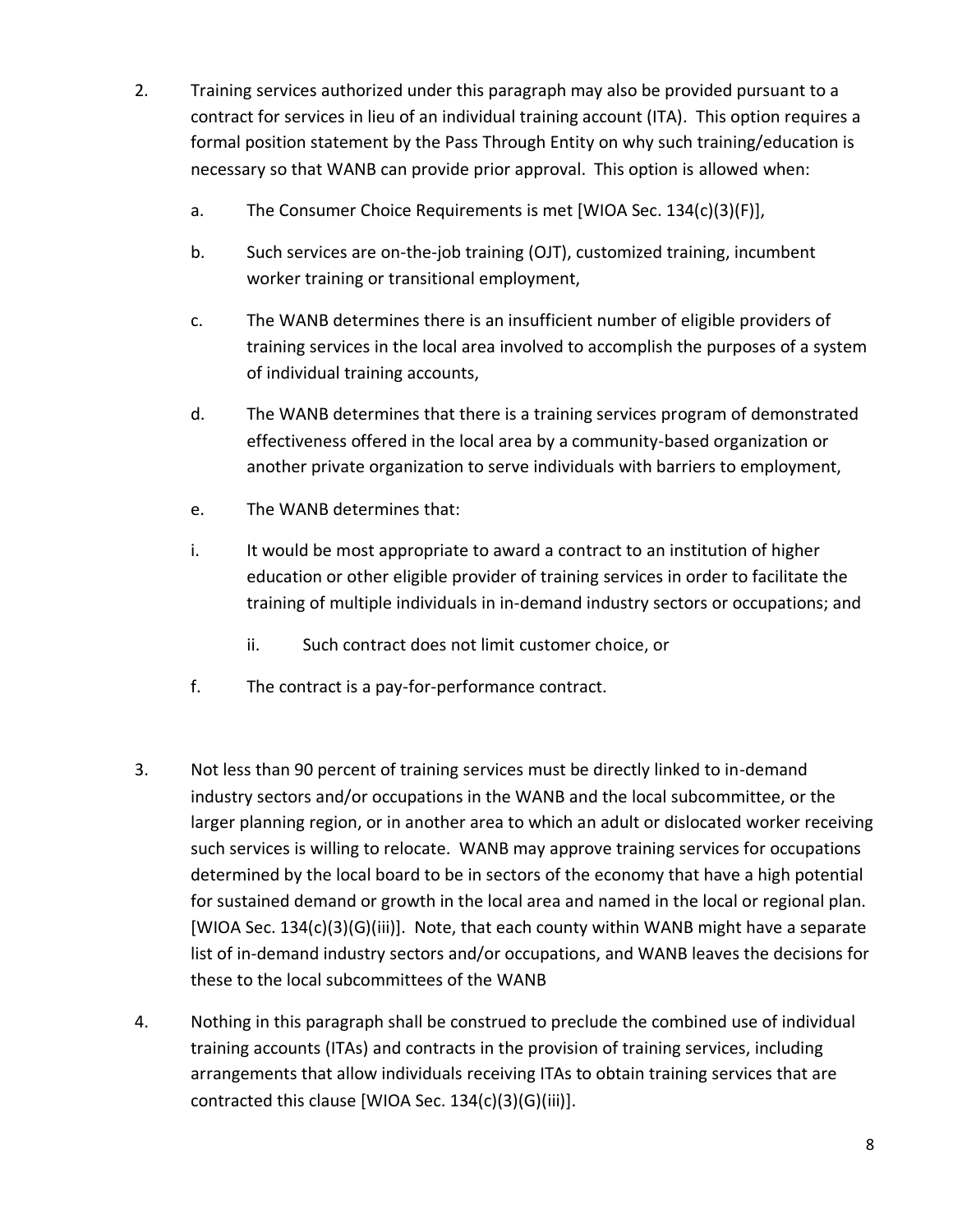- 2. Training services authorized under this paragraph may also be provided pursuant to a contract for services in lieu of an individual training account (ITA). This option requires a formal position statement by the Pass Through Entity on why such training/education is necessary so that WANB can provide prior approval. This option is allowed when:
	- a. The Consumer Choice Requirements is met [WIOA Sec. 134(c)(3)(F)],
	- b. Such services are on-the-job training (OJT), customized training, incumbent worker training or transitional employment,
	- c. The WANB determines there is an insufficient number of eligible providers of training services in the local area involved to accomplish the purposes of a system of individual training accounts,
	- d. The WANB determines that there is a training services program of demonstrated effectiveness offered in the local area by a community-based organization or another private organization to serve individuals with barriers to employment,
	- e. The WANB determines that:
	- i. It would be most appropriate to award a contract to an institution of higher education or other eligible provider of training services in order to facilitate the training of multiple individuals in in-demand industry sectors or occupations; and
		- ii. Such contract does not limit customer choice, or
	- f. The contract is a pay-for-performance contract.
- 3. Not less than 90 percent of training services must be directly linked to in-demand industry sectors and/or occupations in the WANB and the local subcommittee, or the larger planning region, or in another area to which an adult or dislocated worker receiving such services is willing to relocate. WANB may approve training services for occupations determined by the local board to be in sectors of the economy that have a high potential for sustained demand or growth in the local area and named in the local or regional plan. [WIOA Sec. 134(c)(3)(G)(iii)]. Note, that each county within WANB might have a separate list of in-demand industry sectors and/or occupations, and WANB leaves the decisions for these to the local subcommittees of the WANB
- 4. Nothing in this paragraph shall be construed to preclude the combined use of individual training accounts (ITAs) and contracts in the provision of training services, including arrangements that allow individuals receiving ITAs to obtain training services that are contracted this clause [WIOA Sec. 134(c)(3)(G)(iii)].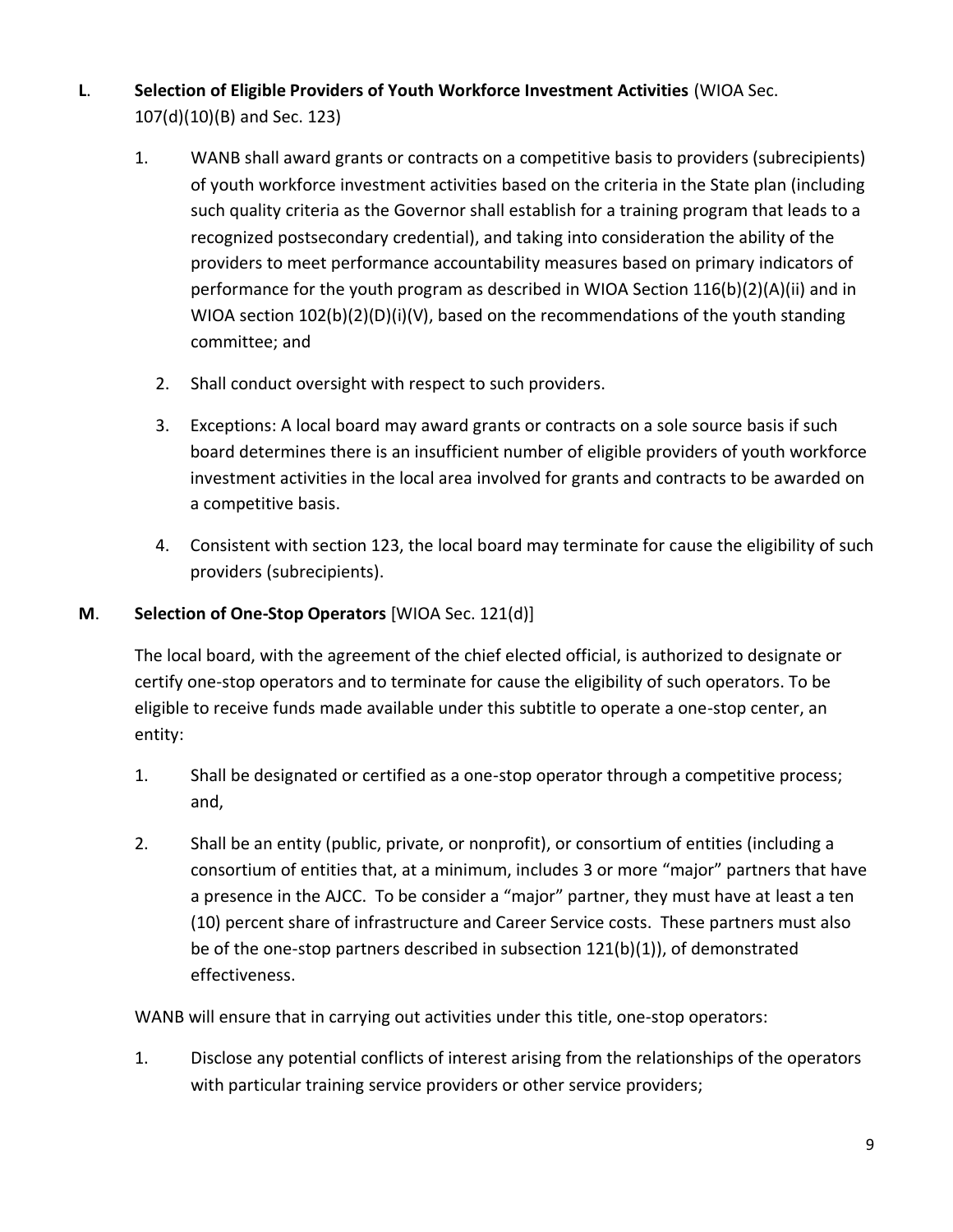- **L**. **Selection of Eligible Providers of Youth Workforce Investment Activities** (WIOA Sec. 107(d)(10)(B) and Sec. 123)
	- 1. WANB shall award grants or contracts on a competitive basis to providers (subrecipients) of youth workforce investment activities based on the criteria in the State plan (including such quality criteria as the Governor shall establish for a training program that leads to a recognized postsecondary credential), and taking into consideration the ability of the providers to meet performance accountability measures based on primary indicators of performance for the youth program as described in WIOA Section 116(b)(2)(A)(ii) and in WIOA section 102(b)(2)(D)(i)(V), based on the recommendations of the youth standing committee; and
		- 2. Shall conduct oversight with respect to such providers.
		- 3. Exceptions: A local board may award grants or contracts on a sole source basis if such board determines there is an insufficient number of eligible providers of youth workforce investment activities in the local area involved for grants and contracts to be awarded on a competitive basis.
		- 4. Consistent with section 123, the local board may terminate for cause the eligibility of such providers (subrecipients).

### **M**. **Selection of One-Stop Operators** [WIOA Sec. 121(d)]

The local board, with the agreement of the chief elected official, is authorized to designate or certify one-stop operators and to terminate for cause the eligibility of such operators. To be eligible to receive funds made available under this subtitle to operate a one-stop center, an entity:

- 1. Shall be designated or certified as a one-stop operator through a competitive process; and,
- 2. Shall be an entity (public, private, or nonprofit), or consortium of entities (including a consortium of entities that, at a minimum, includes 3 or more "major" partners that have a presence in the AJCC. To be consider a "major" partner, they must have at least a ten (10) percent share of infrastructure and Career Service costs. These partners must also be of the one-stop partners described in subsection 121(b)(1)), of demonstrated effectiveness.

WANB will ensure that in carrying out activities under this title, one-stop operators:

1. Disclose any potential conflicts of interest arising from the relationships of the operators with particular training service providers or other service providers;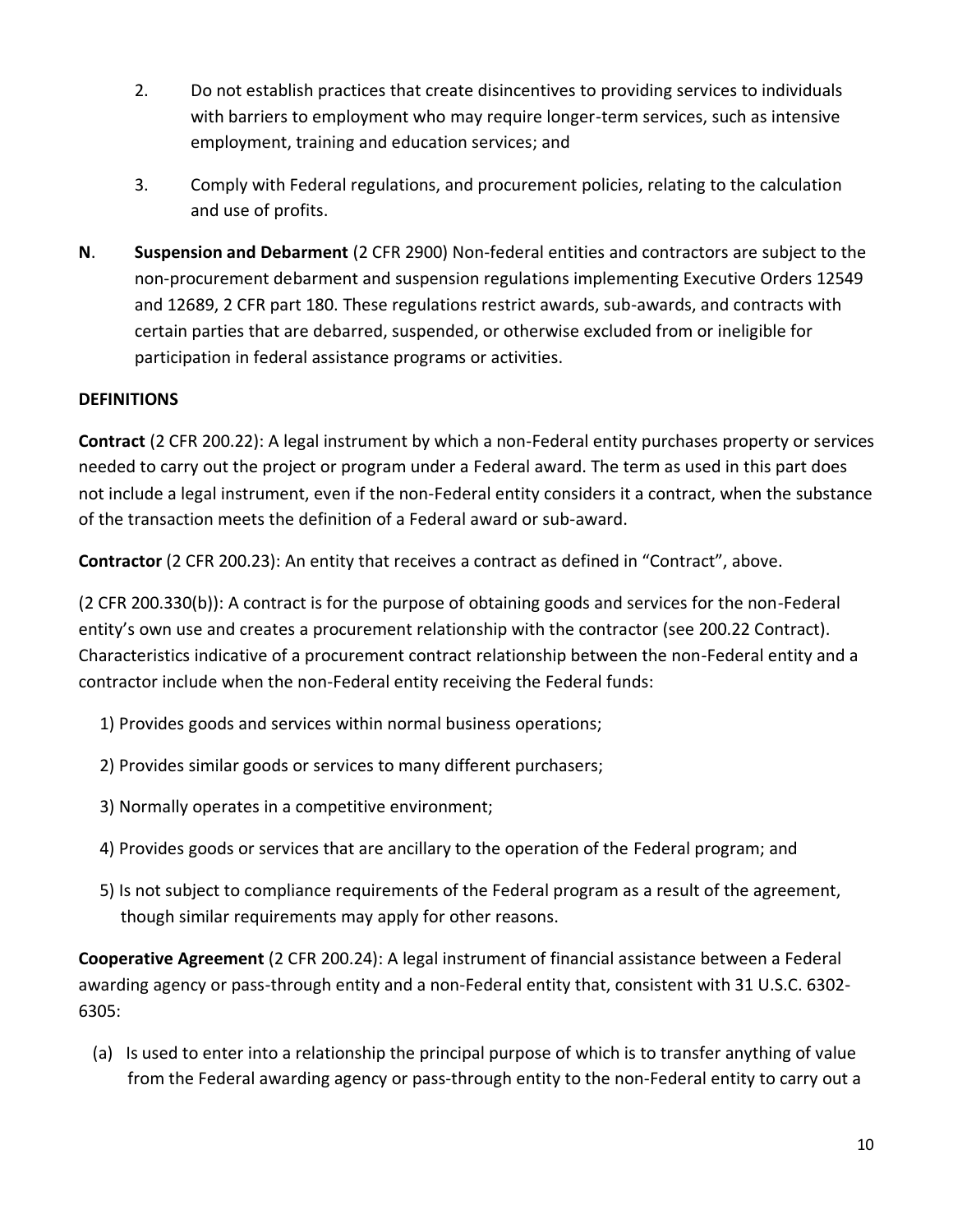- 2. Do not establish practices that create disincentives to providing services to individuals with barriers to employment who may require longer-term services, such as intensive employment, training and education services; and
- 3. Comply with Federal regulations, and procurement policies, relating to the calculation and use of profits.
- **N**. **Suspension and Debarment** (2 CFR 2900) Non-federal entities and contractors are subject to the non-procurement debarment and suspension regulations implementing Executive Orders 12549 and 12689, 2 CFR part 180. These regulations restrict awards, sub-awards, and contracts with certain parties that are debarred, suspended, or otherwise excluded from or ineligible for participation in federal assistance programs or activities.

# **DEFINITIONS**

**Contract** (2 CFR 200.22): A legal instrument by which a non-Federal entity purchases property or services needed to carry out the project or program under a Federal award. The term as used in this part does not include a legal instrument, even if the non-Federal entity considers it a contract, when the substance of the transaction meets the definition of a Federal award or sub-award.

**Contractor** (2 CFR 200.23): An entity that receives a contract as defined in "Contract", above.

(2 CFR 200.330(b)): A contract is for the purpose of obtaining goods and services for the non-Federal entity's own use and creates a procurement relationship with the contractor (see 200.22 Contract). Characteristics indicative of a procurement contract relationship between the non-Federal entity and a contractor include when the non-Federal entity receiving the Federal funds:

- 1) Provides goods and services within normal business operations;
- 2) Provides similar goods or services to many different purchasers;
- 3) Normally operates in a competitive environment;
- 4) Provides goods or services that are ancillary to the operation of the Federal program; and
- 5) Is not subject to compliance requirements of the Federal program as a result of the agreement, though similar requirements may apply for other reasons.

**Cooperative Agreement** (2 CFR 200.24): A legal instrument of financial assistance between a Federal awarding agency or pass-through entity and a non-Federal entity that, consistent with 31 U.S.C. 6302- 6305:

(a) Is used to enter into a relationship the principal purpose of which is to transfer anything of value from the Federal awarding agency or pass-through entity to the non-Federal entity to carry out a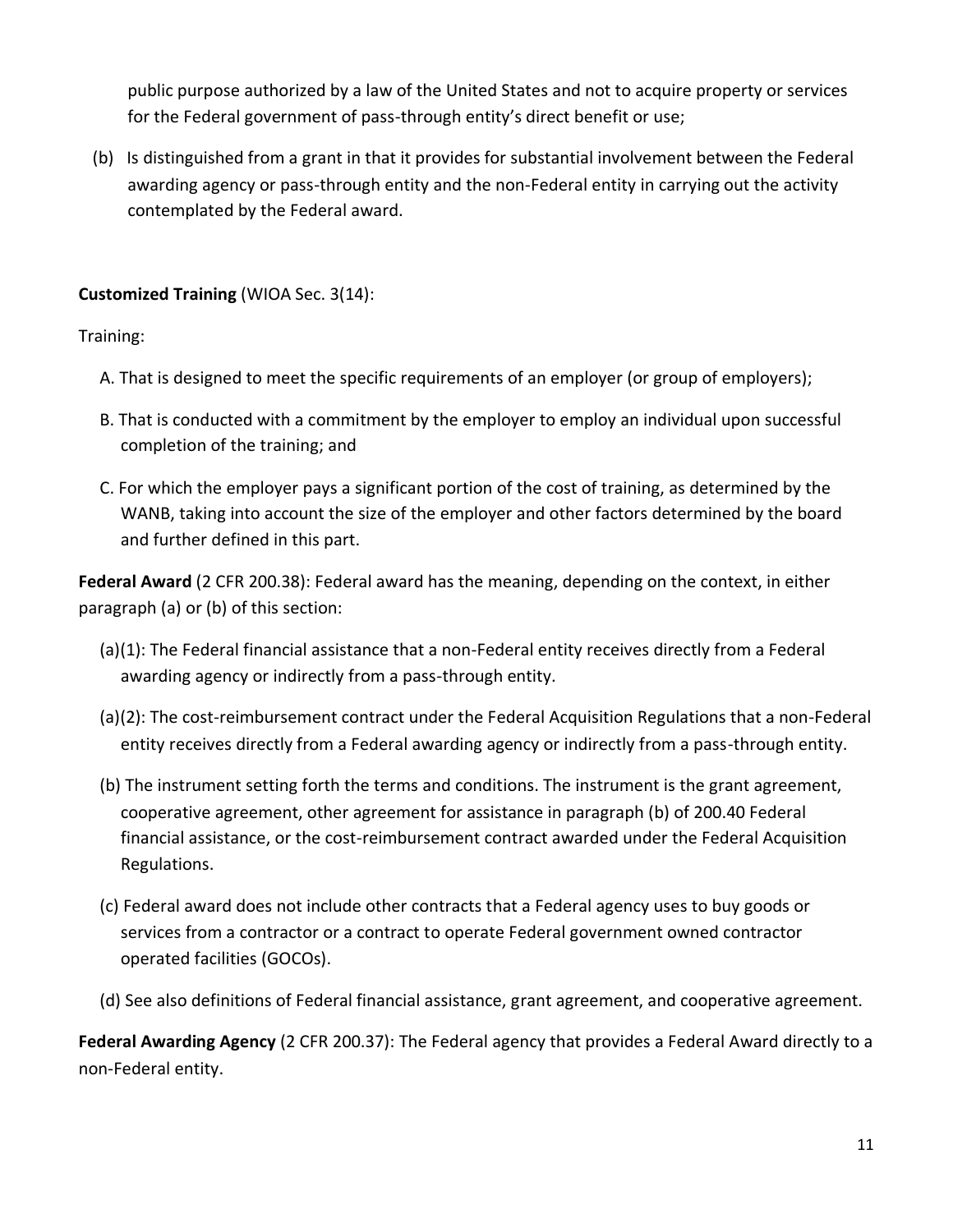public purpose authorized by a law of the United States and not to acquire property or services for the Federal government of pass-through entity's direct benefit or use;

(b) Is distinguished from a grant in that it provides for substantial involvement between the Federal awarding agency or pass-through entity and the non-Federal entity in carrying out the activity contemplated by the Federal award.

# **Customized Training** (WIOA Sec. 3(14):

Training:

- A. That is designed to meet the specific requirements of an employer (or group of employers);
- B. That is conducted with a commitment by the employer to employ an individual upon successful completion of the training; and
- C. For which the employer pays a significant portion of the cost of training, as determined by the WANB, taking into account the size of the employer and other factors determined by the board and further defined in this part.

**Federal Award** (2 CFR 200.38): Federal award has the meaning, depending on the context, in either paragraph (a) or (b) of this section:

- (a)(1): The Federal financial assistance that a non-Federal entity receives directly from a Federal awarding agency or indirectly from a pass-through entity.
- (a)(2): The cost-reimbursement contract under the Federal Acquisition Regulations that a non-Federal entity receives directly from a Federal awarding agency or indirectly from a pass-through entity.
- (b) The instrument setting forth the terms and conditions. The instrument is the grant agreement, cooperative agreement, other agreement for assistance in paragraph (b) of 200.40 Federal financial assistance, or the cost-reimbursement contract awarded under the Federal Acquisition Regulations.
- (c) Federal award does not include other contracts that a Federal agency uses to buy goods or services from a contractor or a contract to operate Federal government owned contractor operated facilities (GOCOs).
- (d) See also definitions of Federal financial assistance, grant agreement, and cooperative agreement.

**Federal Awarding Agency** (2 CFR 200.37): The Federal agency that provides a Federal Award directly to a non-Federal entity.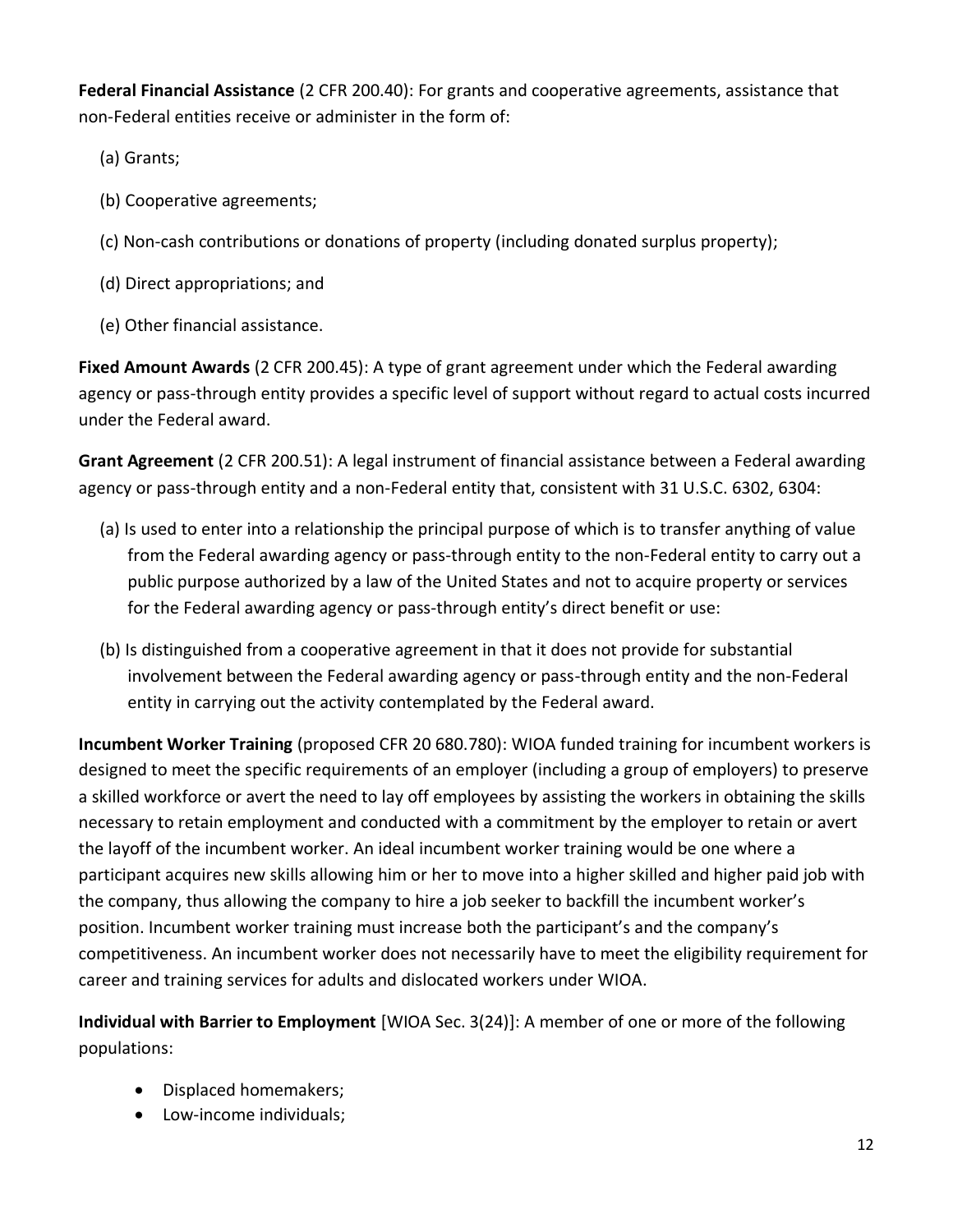**Federal Financial Assistance** (2 CFR 200.40): For grants and cooperative agreements, assistance that non-Federal entities receive or administer in the form of:

- (a) Grants;
- (b) Cooperative agreements;
- (c) Non-cash contributions or donations of property (including donated surplus property);
- (d) Direct appropriations; and
- (e) Other financial assistance.

**Fixed Amount Awards** (2 CFR 200.45): A type of grant agreement under which the Federal awarding agency or pass-through entity provides a specific level of support without regard to actual costs incurred under the Federal award.

**Grant Agreement** (2 CFR 200.51): A legal instrument of financial assistance between a Federal awarding agency or pass-through entity and a non-Federal entity that, consistent with 31 U.S.C. 6302, 6304:

- (a) Is used to enter into a relationship the principal purpose of which is to transfer anything of value from the Federal awarding agency or pass-through entity to the non-Federal entity to carry out a public purpose authorized by a law of the United States and not to acquire property or services for the Federal awarding agency or pass-through entity's direct benefit or use:
- (b) Is distinguished from a cooperative agreement in that it does not provide for substantial involvement between the Federal awarding agency or pass-through entity and the non-Federal entity in carrying out the activity contemplated by the Federal award.

**Incumbent Worker Training** (proposed CFR 20 680.780): WIOA funded training for incumbent workers is designed to meet the specific requirements of an employer (including a group of employers) to preserve a skilled workforce or avert the need to lay off employees by assisting the workers in obtaining the skills necessary to retain employment and conducted with a commitment by the employer to retain or avert the layoff of the incumbent worker. An ideal incumbent worker training would be one where a participant acquires new skills allowing him or her to move into a higher skilled and higher paid job with the company, thus allowing the company to hire a job seeker to backfill the incumbent worker's position. Incumbent worker training must increase both the participant's and the company's competitiveness. An incumbent worker does not necessarily have to meet the eligibility requirement for career and training services for adults and dislocated workers under WIOA.

**Individual with Barrier to Employment** [WIOA Sec. 3(24)]: A member of one or more of the following populations:

- Displaced homemakers;
- Low-income individuals;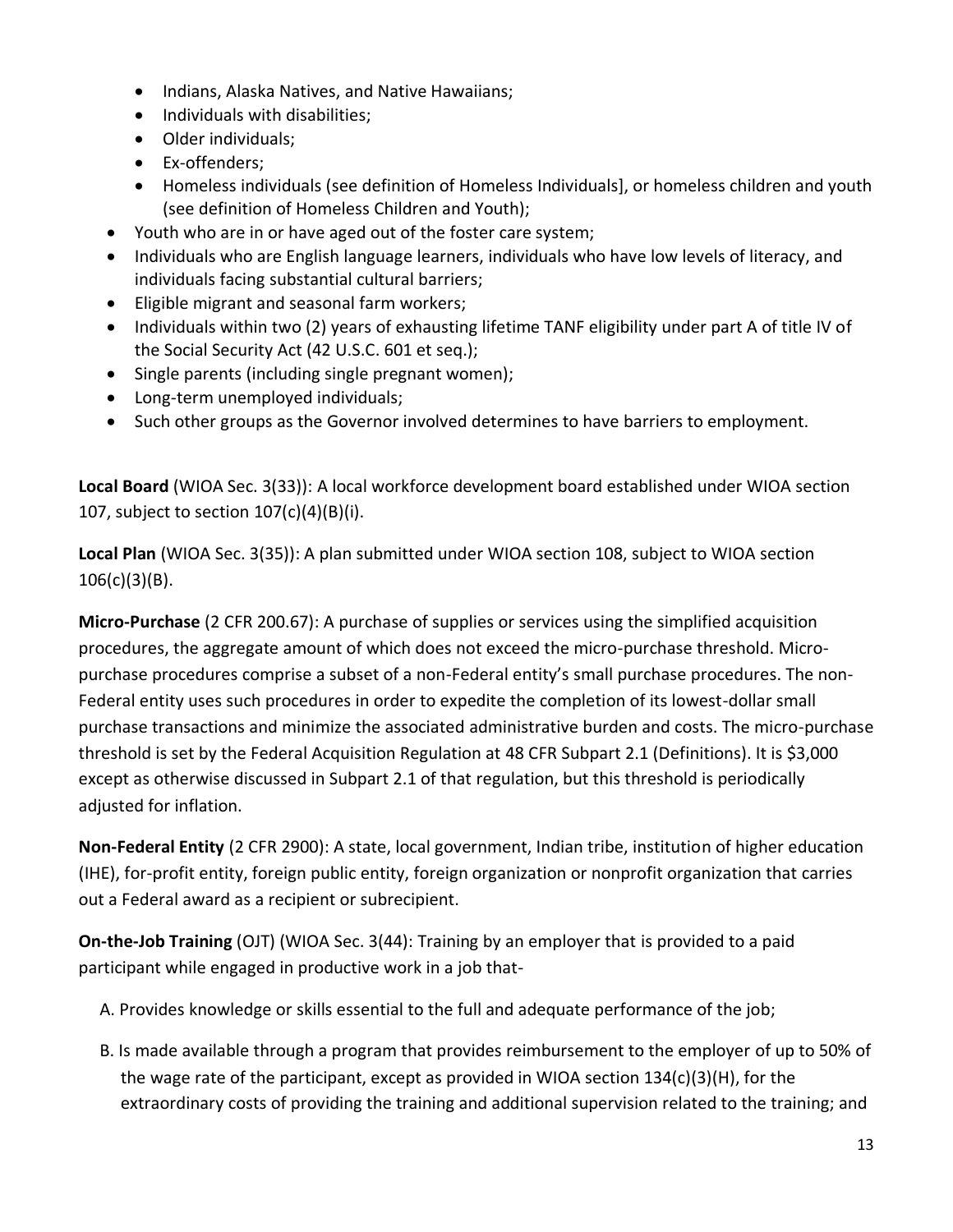- Indians, Alaska Natives, and Native Hawaiians;
- Individuals with disabilities;
- Older individuals;
- Ex-offenders;
- Homeless individuals (see definition of Homeless Individuals], or homeless children and youth (see definition of Homeless Children and Youth);
- Youth who are in or have aged out of the foster care system;
- Individuals who are English language learners, individuals who have low levels of literacy, and individuals facing substantial cultural barriers;
- Eligible migrant and seasonal farm workers;
- Individuals within two (2) years of exhausting lifetime TANF eligibility under part A of title IV of the Social Security Act (42 U.S.C. 601 et seq.);
- Single parents (including single pregnant women);
- Long-term unemployed individuals;
- Such other groups as the Governor involved determines to have barriers to employment.

**Local Board** (WIOA Sec. 3(33)): A local workforce development board established under WIOA section 107, subject to section 107(c)(4)(B)(i).

**Local Plan** (WIOA Sec. 3(35)): A plan submitted under WIOA section 108, subject to WIOA section 106(c)(3)(B).

**Micro-Purchase** (2 CFR 200.67): A purchase of supplies or services using the simplified acquisition procedures, the aggregate amount of which does not exceed the micro-purchase threshold. Micropurchase procedures comprise a subset of a non-Federal entity's small purchase procedures. The non-Federal entity uses such procedures in order to expedite the completion of its lowest-dollar small purchase transactions and minimize the associated administrative burden and costs. The micro-purchase threshold is set by the Federal Acquisition Regulation at 48 CFR Subpart 2.1 (Definitions). It is \$3,000 except as otherwise discussed in Subpart 2.1 of that regulation, but this threshold is periodically adjusted for inflation.

**Non-Federal Entity** (2 CFR 2900): A state, local government, Indian tribe, institution of higher education (IHE), for-profit entity, foreign public entity, foreign organization or nonprofit organization that carries out a Federal award as a recipient or subrecipient.

**On-the-Job Training** (OJT) (WIOA Sec. 3(44): Training by an employer that is provided to a paid participant while engaged in productive work in a job that-

- A. Provides knowledge or skills essential to the full and adequate performance of the job;
- B. Is made available through a program that provides reimbursement to the employer of up to 50% of the wage rate of the participant, except as provided in WIOA section 134(c)(3)(H), for the extraordinary costs of providing the training and additional supervision related to the training; and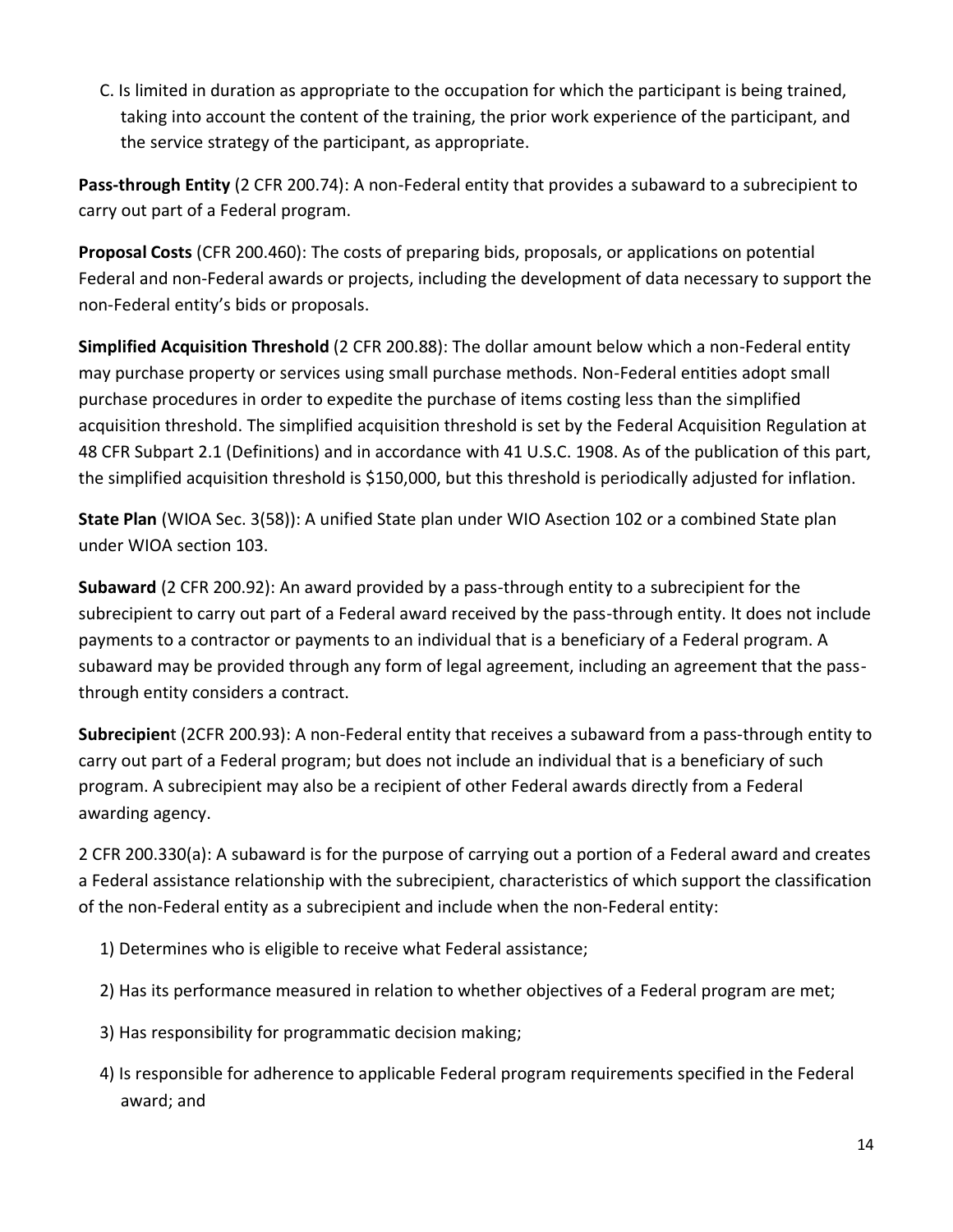C. Is limited in duration as appropriate to the occupation for which the participant is being trained, taking into account the content of the training, the prior work experience of the participant, and the service strategy of the participant, as appropriate.

**Pass-through Entity** (2 CFR 200.74): A non-Federal entity that provides a subaward to a subrecipient to carry out part of a Federal program.

**Proposal Costs** (CFR 200.460): The costs of preparing bids, proposals, or applications on potential Federal and non-Federal awards or projects, including the development of data necessary to support the non-Federal entity's bids or proposals.

**Simplified Acquisition Threshold** (2 CFR 200.88): The dollar amount below which a non-Federal entity may purchase property or services using small purchase methods. Non-Federal entities adopt small purchase procedures in order to expedite the purchase of items costing less than the simplified acquisition threshold. The simplified acquisition threshold is set by the Federal Acquisition Regulation at 48 CFR Subpart 2.1 (Definitions) and in accordance with 41 U.S.C. 1908. As of the publication of this part, the simplified acquisition threshold is \$150,000, but this threshold is periodically adjusted for inflation.

**State Plan** (WIOA Sec. 3(58)): A unified State plan under WIO Asection 102 or a combined State plan under WIOA section 103.

**Subaward** (2 CFR 200.92): An award provided by a pass-through entity to a subrecipient for the subrecipient to carry out part of a Federal award received by the pass-through entity. It does not include payments to a contractor or payments to an individual that is a beneficiary of a Federal program. A subaward may be provided through any form of legal agreement, including an agreement that the passthrough entity considers a contract.

**Subrecipien**t (2CFR 200.93): A non-Federal entity that receives a subaward from a pass-through entity to carry out part of a Federal program; but does not include an individual that is a beneficiary of such program. A subrecipient may also be a recipient of other Federal awards directly from a Federal awarding agency.

2 CFR 200.330(a): A subaward is for the purpose of carrying out a portion of a Federal award and creates a Federal assistance relationship with the subrecipient, characteristics of which support the classification of the non-Federal entity as a subrecipient and include when the non-Federal entity:

- 1) Determines who is eligible to receive what Federal assistance;
- 2) Has its performance measured in relation to whether objectives of a Federal program are met;
- 3) Has responsibility for programmatic decision making;
- 4) Is responsible for adherence to applicable Federal program requirements specified in the Federal award; and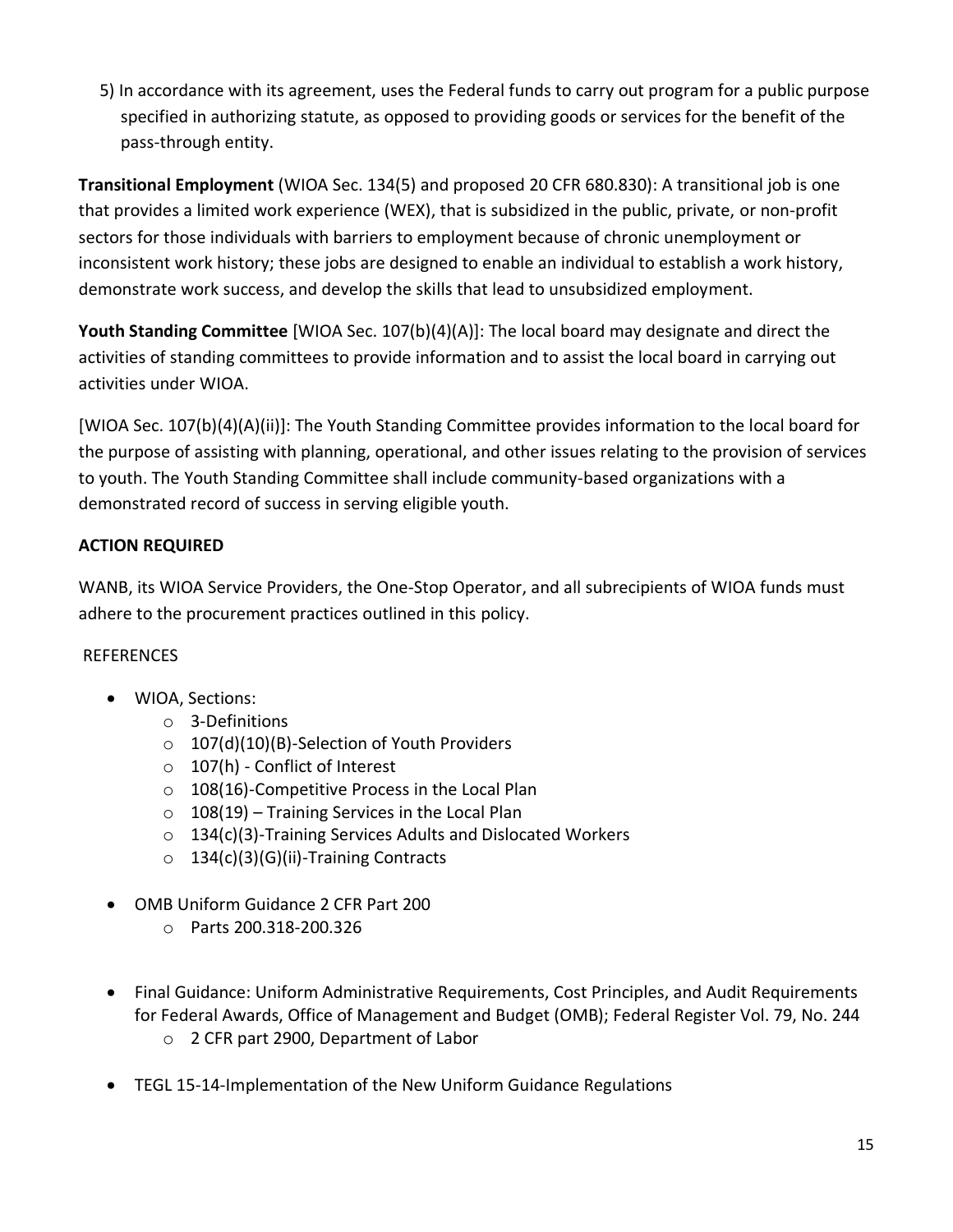5) In accordance with its agreement, uses the Federal funds to carry out program for a public purpose specified in authorizing statute, as opposed to providing goods or services for the benefit of the pass-through entity.

**Transitional Employment** (WIOA Sec. 134(5) and proposed 20 CFR 680.830): A transitional job is one that provides a limited work experience (WEX), that is subsidized in the public, private, or non-profit sectors for those individuals with barriers to employment because of chronic unemployment or inconsistent work history; these jobs are designed to enable an individual to establish a work history, demonstrate work success, and develop the skills that lead to unsubsidized employment.

**Youth Standing Committee** [WIOA Sec. 107(b)(4)(A)]: The local board may designate and direct the activities of standing committees to provide information and to assist the local board in carrying out activities under WIOA.

[WIOA Sec. 107(b)(4)(A)(ii)]: The Youth Standing Committee provides information to the local board for the purpose of assisting with planning, operational, and other issues relating to the provision of services to youth. The Youth Standing Committee shall include community-based organizations with a demonstrated record of success in serving eligible youth.

# **ACTION REQUIRED**

WANB, its WIOA Service Providers, the One-Stop Operator, and all subrecipients of WIOA funds must adhere to the procurement practices outlined in this policy.

### **REFERENCES**

- WIOA, Sections:
	- o 3-Definitions
	- o 107(d)(10)(B)-Selection of Youth Providers
	- o 107(h) Conflict of Interest
	- o 108(16)-Competitive Process in the Local Plan
	- $\circ$  108(19) Training Services in the Local Plan
	- o 134(c)(3)-Training Services Adults and Dislocated Workers
	- $\circ$  134(c)(3)(G)(ii)-Training Contracts
- OMB Uniform Guidance 2 CFR Part 200
	- o Parts 200.318-200.326
- Final Guidance: Uniform Administrative Requirements, Cost Principles, and Audit Requirements for Federal Awards, Office of Management and Budget (OMB); Federal Register Vol. 79, No. 244 o 2 CFR part 2900, Department of Labor
- TEGL 15-14-Implementation of the New Uniform Guidance Regulations